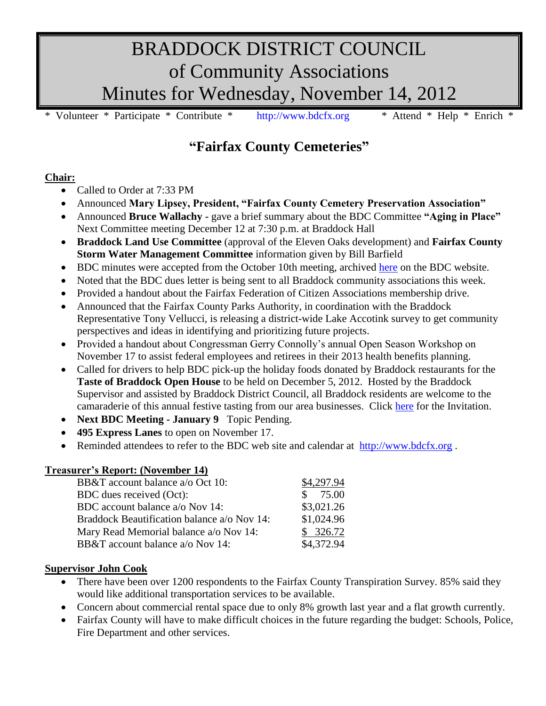# BRADDOCK DISTRICT COUNCIL of Community Associations Minutes for Wednesday, November 14, 2012

Volunteer \* Participate \* Contribute \* [http://www.bdcfx.org](http://www.bdcfx.org/) \* Attend \* Help \* Enrich \*

# **"Fairfax County Cemeteries"**

### **Chair:**

- Called to Order at 7:33 PM
- Announced **Mary Lipsey, President, "Fairfax County Cemetery Preservation Association"**
- Announced **Bruce Wallachy -** gave a brief summary about the BDC Committee **"Aging in Place"** Next Committee meeting December 12 at 7:30 p.m. at Braddock Hall
- **Braddock Land Use Committee** (approval of the Eleven Oaks development) and **Fairfax County Storm Water Management Committee** information given by Bill Barfield
- BDC minutes were accepted from the October 10th meeting, archived [here](https://docs.google.com/viewer?a=v&pid=sites&srcid=ZGVmYXVsdGRvbWFpbnxiZGNmeHZhfGd4OjM4Y2RjMTMwODliNzNhZTA) on the BDC website.
- Noted that the BDC dues letter is being sent to all Braddock community associations this week.
- Provided a handout about the Fairfax Federation of Citizen Associations membership drive.
- Announced that the Fairfax County Parks Authority, in coordination with the Braddock Representative Tony Vellucci, is releasing a district-wide Lake Accotink survey to get community perspectives and ideas in identifying and prioritizing future projects.
- Provided a handout about Congressman Gerry Connolly's annual Open Season Workshop on November 17 to assist federal employees and retirees in their 2013 health benefits planning.
- Called for drivers to help BDC pick-up the holiday foods donated by Braddock restaurants for the **Taste of Braddock Open House** to be held on December 5, 2012. Hosted by the Braddock Supervisor and assisted by Braddock District Council, all Braddock residents are welcome to the camaraderie of this annual festive tasting from our area businesses. Click [here](http://www.bdcfx.org/home/announcements-and-events/tasteofbraddock/2012%20ToB%20Invitation.pdf) for the Invitation.
- **Next BDC Meeting - January 9** Topic Pending.
- **495 Express Lanes** to open on November 17.
- Reminded attendees to refer to the BDC web site and calendar at [http://www.bdcfx.org](http://www.bdcfx.org/).

# **Treasurer's Report: (November 14)**

| BB&T account balance a/o Oct 10:            | \$4,297.94 |
|---------------------------------------------|------------|
| BDC dues received (Oct):                    | 75.00      |
| BDC account balance a/o Nov 14:             | \$3,021.26 |
| Braddock Beautification balance a/o Nov 14: | \$1,024.96 |
| Mary Read Memorial balance a/o Nov 14:      | \$326.72   |
| BB&T account balance a/o Nov 14:            | \$4,372.94 |

# **Supervisor John Cook**

- There have been over 1200 respondents to the Fairfax County Transpiration Survey. 85% said they would like additional transportation services to be available.
- Concern about commercial rental space due to only 8% growth last year and a flat growth currently.
- Fairfax County will have to make difficult choices in the future regarding the budget: Schools, Police, Fire Department and other services.